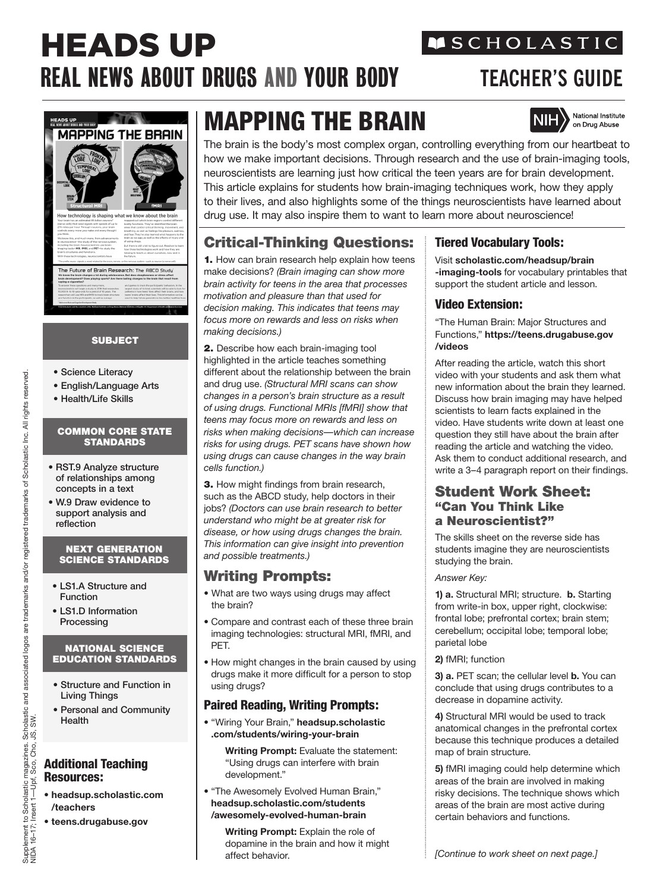# HEADS UP REAL NEWS ABOUT DRUGS AND YOUR BODY **TEACHER'S GUIDE**

## **MSCHOLASTIC**



## SUBJECT

- Science Literacy
- English/Language Arts
- Health/Life Skills

#### COMMON CORE STATE **STANDARDS**

- RST.9 Analyze structure of relationships among concepts in a text
- W.9 Draw evidence to support analysis and reflection

#### NEXT GENERATION SCIENCE STANDARDS

- LS1.A Structure and Function
- LS1.D Information Processing

#### NATIONAL SCIENCE EDUCATION STANDARDS

- Structure and Function in Living Things
- Personal and Community Health

#### Additional Teaching Resources:

- **headsup.scholastic.com /teachers**
- **teens.drugabuse.gov**

## MAPPING THE BRAIN



The brain is the body's most complex organ, controlling everything from our heartbeat to how we make important decisions. Through research and the use of brain-imaging tools, neuroscientists are learning just how critical the teen years are for brain development. This article explains for students how brain-imaging techniques work, how they apply to their lives, and also highlights some of the things neuroscientists have learned about drug use. It may also inspire them to want to learn more about neuroscience!

## Critical-Thinking Questions:

1. How can brain research help explain how teens make decisions? *(Brain imaging can show more brain activity for teens in the area that processes motivation and pleasure than that used for decision making. This indicates that teens may focus more on rewards and less on risks when making decisions.)* 

2. Describe how each brain-imaging tool highlighted in the article teaches something different about the relationship between the brain and drug use. *(Structural MRI scans can show changes in a person's brain structure as a result of using drugs. Functional MRIs [fMRI] show that teens may focus more on rewards and less on risks when making decisions—which can increase risks for using drugs. PET scans have shown how using drugs can cause changes in the way brain cells function.)*

3. How might findings from brain research, such as the ABCD study, help doctors in their jobs? *(Doctors can use brain research to better understand who might be at greater risk for disease, or how using drugs changes the brain. This information can give insight into prevention and possible treatments.)*

## Writing Prompts:

*•* What are two ways using drugs may affect the brain?

- Compare and contrast each of these three brain imaging technologies: structural MRI, fMRI, and PET.
- How might changes in the brain caused by using drugs make it more difficult for a person to stop using drugs?

## Paired Reading, Writing Prompts:

• "Wiring Your Brain," **headsup.scholastic .com/students/wiring-your-brain**

**Writing Prompt:** Evaluate the statement: "Using drugs can interfere with brain development."

• "The Awesomely Evolved Human Brain," **headsup.scholastic.com/students /awesomely-evolved-human-brain**

**Writing Prompt:** Explain the role of dopamine in the brain and how it might affect behavior.

#### Tiered Vocabulary Tools:

Visit **scholastic.com/headsup/brain -imaging-tools** for vocabulary printables that support the student article and lesson.

#### Video Extension:

"The Human Brain: Major Structures and Functions," **https://teens.drugabuse.gov /videos**

After reading the article, watch this short video with your students and ask them what new information about the brain they learned. Discuss how brain imaging may have helped scientists to learn facts explained in the video. Have students write down at least one question they still have about the brain after reading the article and watching the video. Ask them to conduct additional research, and write a 3–4 paragraph report on their findings.

#### Student Work Sheet: "Can You Think Like a Neuroscientist?"

The skills sheet on the reverse side has students imagine they are neuroscientists studying the brain.

#### *Answer Key:*

**1) a.** Structural MRI; structure. **b.** Starting from write-in box, upper right, clockwise: frontal lobe; prefrontal cortex; brain stem; cerebellum; occipital lobe; temporal lobe; parietal lobe

#### **2)** fMRI; function

**3) a.** PET scan; the cellular level **b.** You can conclude that using drugs contributes to a decrease in dopamine activity.

**4)** Structural MRI would be used to track anatomical changes in the prefrontal cortex because this technique produces a detailed map of brain structure.

**5)** fMRI imaging could help determine which areas of the brain are involved in making risky decisions. The technique shows which areas of the brain are most active during certain behaviors and functions.

rights reserved.